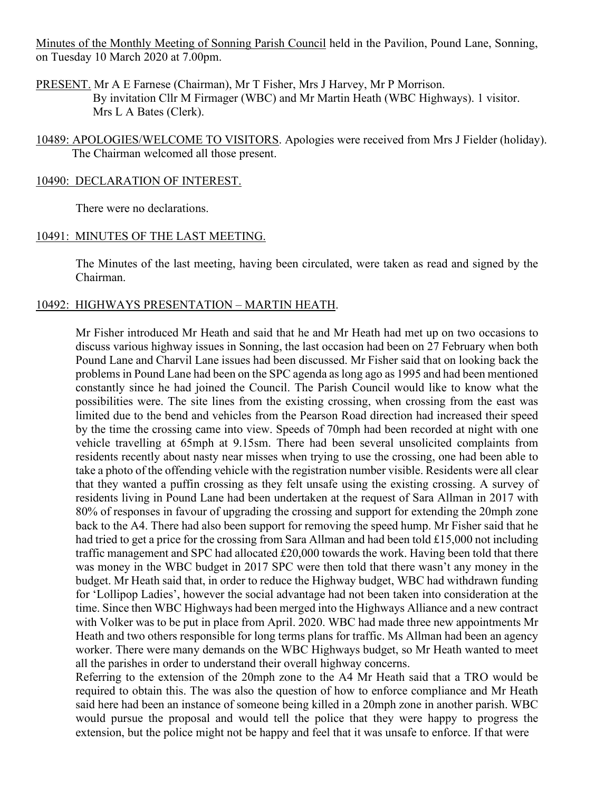Minutes of the Monthly Meeting of Sonning Parish Council held in the Pavilion, Pound Lane, Sonning, on Tuesday 10 March 2020 at 7.00pm.

PRESENT. Mr A E Farnese (Chairman), Mr T Fisher, Mrs J Harvey, Mr P Morrison. By invitation Cllr M Firmager (WBC) and Mr Martin Heath (WBC Highways). 1 visitor. Mrs L A Bates (Clerk).

10489: APOLOGIES/WELCOME TO VISITORS. Apologies were received from Mrs J Fielder (holiday). The Chairman welcomed all those present.

#### 10490: DECLARATION OF INTEREST.

There were no declarations.

#### 10491: MINUTES OF THE LAST MEETING.

The Minutes of the last meeting, having been circulated, were taken as read and signed by the Chairman.

## 10492: HIGHWAYS PRESENTATION – MARTIN HEATH.

Mr Fisher introduced Mr Heath and said that he and Mr Heath had met up on two occasions to discuss various highway issues in Sonning, the last occasion had been on 27 February when both Pound Lane and Charvil Lane issues had been discussed. Mr Fisher said that on looking back the problems in Pound Lane had been on the SPC agenda as long ago as 1995 and had been mentioned constantly since he had joined the Council. The Parish Council would like to know what the possibilities were. The site lines from the existing crossing, when crossing from the east was limited due to the bend and vehicles from the Pearson Road direction had increased their speed by the time the crossing came into view. Speeds of 70mph had been recorded at night with one vehicle travelling at 65mph at 9.15sm. There had been several unsolicited complaints from residents recently about nasty near misses when trying to use the crossing, one had been able to take a photo of the offending vehicle with the registration number visible. Residents were all clear that they wanted a puffin crossing as they felt unsafe using the existing crossing. A survey of residents living in Pound Lane had been undertaken at the request of Sara Allman in 2017 with 80% of responses in favour of upgrading the crossing and support for extending the 20mph zone back to the A4. There had also been support for removing the speed hump. Mr Fisher said that he had tried to get a price for the crossing from Sara Allman and had been told £15,000 not including traffic management and SPC had allocated £20,000 towards the work. Having been told that there was money in the WBC budget in 2017 SPC were then told that there wasn't any money in the budget. Mr Heath said that, in order to reduce the Highway budget, WBC had withdrawn funding for 'Lollipop Ladies', however the social advantage had not been taken into consideration at the time. Since then WBC Highways had been merged into the Highways Alliance and a new contract with Volker was to be put in place from April. 2020. WBC had made three new appointments Mr Heath and two others responsible for long terms plans for traffic. Ms Allman had been an agency worker. There were many demands on the WBC Highways budget, so Mr Heath wanted to meet all the parishes in order to understand their overall highway concerns.

Referring to the extension of the 20mph zone to the A4 Mr Heath said that a TRO would be required to obtain this. The was also the question of how to enforce compliance and Mr Heath said here had been an instance of someone being killed in a 20mph zone in another parish. WBC would pursue the proposal and would tell the police that they were happy to progress the extension, but the police might not be happy and feel that it was unsafe to enforce. If that were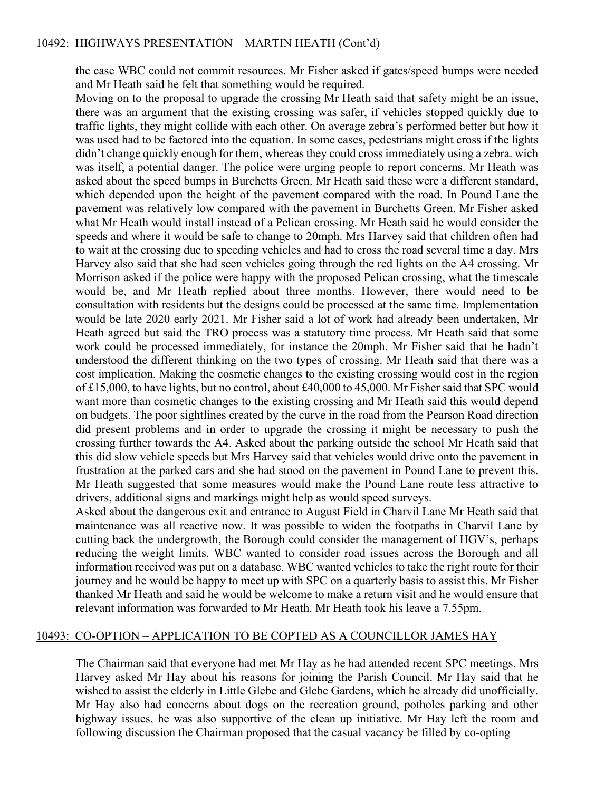## 10492: HIGHWAYS PRESENTATION – MARTIN HEATH (Cont'd)

the case WBC could not commit resources. Mr Fisher asked if gates/speed bumps were needed and Mr Heath said he felt that something would be required.

Moving on to the proposal to upgrade the crossing Mr Heath said that safety might be an issue, there was an argument that the existing crossing was safer, if vehicles stopped quickly due to traffic lights, they might collide with each other. On average zebra's performed better but how it was used had to be factored into the equation. In some cases, pedestrians might cross if the lights didn't change quickly enough for them, whereas they could cross immediately using a zebra. wich was itself, a potential danger. The police were urging people to report concerns. Mr Heath was asked about the speed bumps in Burchetts Green. Mr Heath said these were a different standard, which depended upon the height of the pavement compared with the road. In Pound Lane the pavement was relatively low compared with the pavement in Burchetts Green. Mr Fisher asked what Mr Heath would install instead of a Pelican crossing. Mr Heath said he would consider the speeds and where it would be safe to change to 20mph. Mrs Harvey said that children often had to wait at the crossing due to speeding vehicles and had to cross the road several time a day. Mrs Harvey also said that she had seen vehicles going through the red lights on the A4 crossing. Mr Morrison asked if the police were happy with the proposed Pelican crossing, what the timescale would be, and Mr Heath replied about three months. However, there would need to be consultation with residents but the designs could be processed at the same time. Implementation would be late 2020 early 2021. Mr Fisher said a lot of work had already been undertaken, Mr Heath agreed but said the TRO process was a statutory time process. Mr Heath said that some work could be processed immediately, for instance the 20mph. Mr Fisher said that he hadn't understood the different thinking on the two types of crossing. Mr Heath said that there was a cost implication. Making the cosmetic changes to the existing crossing would cost in the region of £15,000, to have lights, but no control, about £40,000 to 45,000. Mr Fisher said that SPC would want more than cosmetic changes to the existing crossing and Mr Heath said this would depend on budgets. The poor sightlines created by the curve in the road from the Pearson Road direction did present problems and in order to upgrade the crossing it might be necessary to push the crossing further towards the A4. Asked about the parking outside the school Mr Heath said that this did slow vehicle speeds but Mrs Harvey said that vehicles would drive onto the pavement in frustration at the parked cars and she had stood on the pavement in Pound Lane to prevent this. Mr Heath suggested that some measures would make the Pound Lane route less attractive to drivers, additional signs and markings might help as would speed surveys.

Asked about the dangerous exit and entrance to August Field in Charvil Lane Mr Heath said that maintenance was all reactive now. It was possible to widen the footpaths in Charvil Lane by cutting back the undergrowth, the Borough could consider the management of HGV's, perhaps reducing the weight limits. WBC wanted to consider road issues across the Borough and all information received was put on a database. WBC wanted vehicles to take the right route for their journey and he would be happy to meet up with SPC on a quarterly basis to assist this. Mr Fisher thanked Mr Heath and said he would be welcome to make a return visit and he would ensure that relevant information was forwarded to Mr Heath. Mr Heath took his leave a 7.55pm.

#### 10493: CO-OPTION – APPLICATION TO BE COPTED AS A COUNCILLOR JAMES HAY

The Chairman said that everyone had met Mr Hay as he had attended recent SPC meetings. Mrs Harvey asked Mr Hay about his reasons for joining the Parish Council. Mr Hay said that he wished to assist the elderly in Little Glebe and Glebe Gardens, which he already did unofficially. Mr Hay also had concerns about dogs on the recreation ground, potholes parking and other highway issues, he was also supportive of the clean up initiative. Mr Hay left the room and following discussion the Chairman proposed that the casual vacancy be filled by co-opting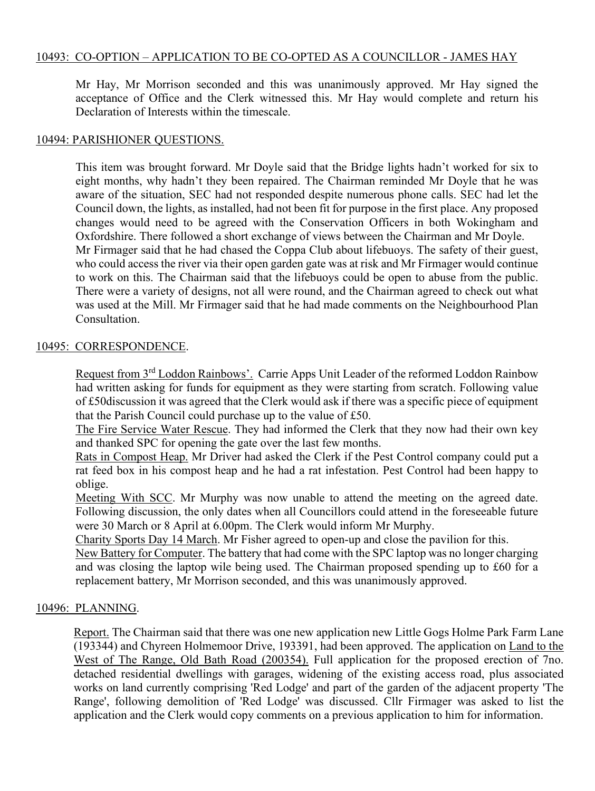## 10493: CO-OPTION – APPLICATION TO BE CO-OPTED AS A COUNCILLOR - JAMES HAY

Mr Hay, Mr Morrison seconded and this was unanimously approved. Mr Hay signed the acceptance of Office and the Clerk witnessed this. Mr Hay would complete and return his Declaration of Interests within the timescale.

#### 10494: PARISHIONER QUESTIONS.

This item was brought forward. Mr Doyle said that the Bridge lights hadn't worked for six to eight months, why hadn't they been repaired. The Chairman reminded Mr Doyle that he was aware of the situation, SEC had not responded despite numerous phone calls. SEC had let the Council down, the lights, as installed, had not been fit for purpose in the first place. Any proposed changes would need to be agreed with the Conservation Officers in both Wokingham and Oxfordshire. There followed a short exchange of views between the Chairman and Mr Doyle. Mr Firmager said that he had chased the Coppa Club about lifebuoys. The safety of their guest, who could access the river via their open garden gate was at risk and Mr Firmager would continue to work on this. The Chairman said that the lifebuoys could be open to abuse from the public. There were a variety of designs, not all were round, and the Chairman agreed to check out what was used at the Mill. Mr Firmager said that he had made comments on the Neighbourhood Plan Consultation.

#### 10495: CORRESPONDENCE.

Request from 3rd Loddon Rainbows'. Carrie Apps Unit Leader of the reformed Loddon Rainbow had written asking for funds for equipment as they were starting from scratch. Following value of £50discussion it was agreed that the Clerk would ask if there was a specific piece of equipment that the Parish Council could purchase up to the value of £50.

The Fire Service Water Rescue. They had informed the Clerk that they now had their own key and thanked SPC for opening the gate over the last few months.

Rats in Compost Heap. Mr Driver had asked the Clerk if the Pest Control company could put a rat feed box in his compost heap and he had a rat infestation. Pest Control had been happy to oblige.

Meeting With SCC. Mr Murphy was now unable to attend the meeting on the agreed date. Following discussion, the only dates when all Councillors could attend in the foreseeable future were 30 March or 8 April at 6.00pm. The Clerk would inform Mr Murphy.

Charity Sports Day 14 March. Mr Fisher agreed to open-up and close the pavilion for this.

New Battery for Computer. The battery that had come with the SPC laptop was no longer charging and was closing the laptop wile being used. The Chairman proposed spending up to £60 for a replacement battery, Mr Morrison seconded, and this was unanimously approved.

#### 10496: PLANNING.

Report. The Chairman said that there was one new application new Little Gogs Holme Park Farm Lane (193344) and Chyreen Holmemoor Drive, 193391, had been approved. The application on Land to the West of The Range, Old Bath Road (200354). Full application for the proposed erection of 7no. detached residential dwellings with garages, widening of the existing access road, plus associated works on land currently comprising 'Red Lodge' and part of the garden of the adjacent property 'The Range', following demolition of 'Red Lodge' was discussed. Cllr Firmager was asked to list the application and the Clerk would copy comments on a previous application to him for information.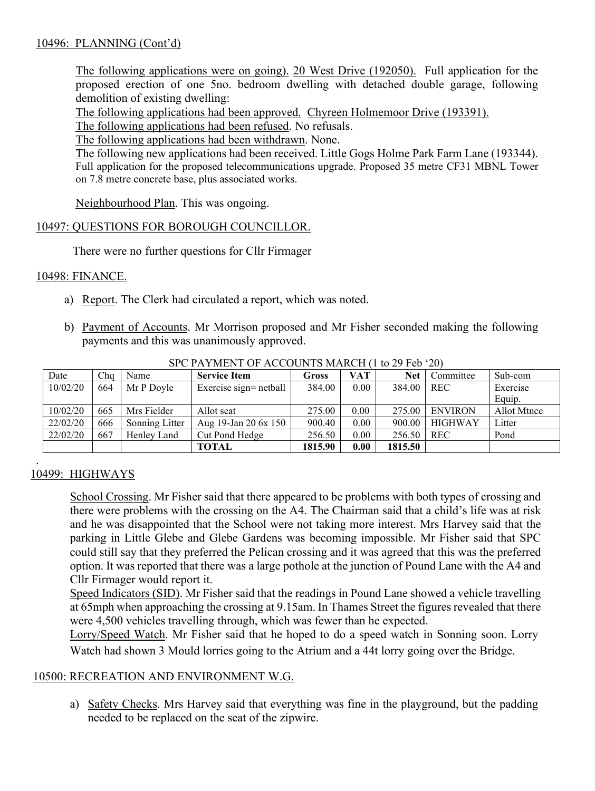## 10496: PLANNING (Cont'd)

The following applications were on going). 20 West Drive (192050). Full application for the proposed erection of one 5no. bedroom dwelling with detached double garage, following demolition of existing dwelling:

The following applications had been approved. Chyreen Holmemoor Drive (193391).

The following applications had been refused. No refusals.

The following applications had been withdrawn. None.

The following new applications had been received. Little Gogs Holme Park Farm Lane (193344). Full application for the proposed telecommunications upgrade. Proposed 35 metre CF31 MBNL Tower on 7.8 metre concrete base, plus associated works.

Neighbourhood Plan. This was ongoing.

## 10497: QUESTIONS FOR BOROUGH COUNCILLOR.

There were no further questions for Cllr Firmager

#### 10498: FINANCE.

- a) Report. The Clerk had circulated a report, which was noted.
- b) Payment of Accounts. Mr Morrison proposed and Mr Fisher seconded making the following payments and this was unanimously approved.

| Date     | Cha | Name           | <b>Service Item</b>    | Gross   | VAT  | Net     | Committee      | Sub-com     |
|----------|-----|----------------|------------------------|---------|------|---------|----------------|-------------|
| 10/02/20 | 664 | Mr P Doyle     | Exercise sign= netball | 384.00  | 0.00 | 384.00  | <b>REC</b>     | Exercise    |
|          |     |                |                        |         |      |         |                | Equip.      |
| 10/02/20 | 665 | Mrs Fielder    | Allot seat             | 275.00  | 0.00 | 275.00  | <b>ENVIRON</b> | Allot Mtnce |
| 22/02/20 | 666 | Sonning Litter | Aug 19-Jan 20 6x 150   | 900.40  | 0.00 | 900.00  | <b>HIGHWAY</b> | Litter      |
| 22/02/20 | 667 | Henley Land    | Cut Pond Hedge         | 256.50  | 0.00 | 256.50  | <b>REC</b>     | Pond        |
|          |     |                | <b>TOTAL</b>           | 1815.90 | 0.00 | 1815.50 |                |             |

SPC PAYMENT OF ACCOUNTS MARCH (1 to 29 Feb '20)

#### . 10499: HIGHWAYS

School Crossing. Mr Fisher said that there appeared to be problems with both types of crossing and there were problems with the crossing on the A4. The Chairman said that a child's life was at risk and he was disappointed that the School were not taking more interest. Mrs Harvey said that the parking in Little Glebe and Glebe Gardens was becoming impossible. Mr Fisher said that SPC could still say that they preferred the Pelican crossing and it was agreed that this was the preferred option. It was reported that there was a large pothole at the junction of Pound Lane with the A4 and Cllr Firmager would report it.

Speed Indicators (SID). Mr Fisher said that the readings in Pound Lane showed a vehicle travelling at 65mph when approaching the crossing at 9.15am. In Thames Street the figures revealed that there were 4,500 vehicles travelling through, which was fewer than he expected.

Lorry/Speed Watch. Mr Fisher said that he hoped to do a speed watch in Sonning soon. Lorry Watch had shown 3 Mould lorries going to the Atrium and a 44t lorry going over the Bridge.

## 10500: RECREATION AND ENVIRONMENT W.G.

a) Safety Checks. Mrs Harvey said that everything was fine in the playground, but the padding needed to be replaced on the seat of the zipwire.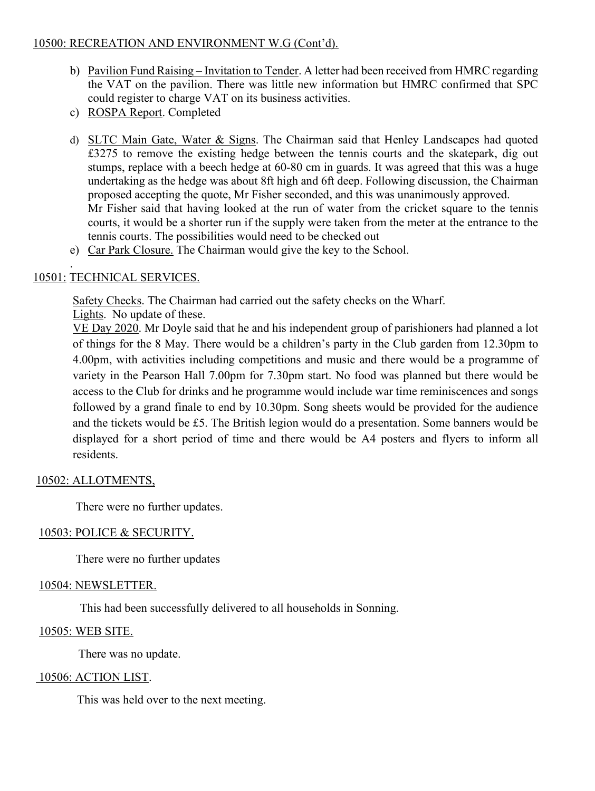## 10500: RECREATION AND ENVIRONMENT W.G (Cont'd).

- b) Pavilion Fund Raising Invitation to Tender. A letter had been received from HMRC regarding the VAT on the pavilion. There was little new information but HMRC confirmed that SPC could register to charge VAT on its business activities.
- c) ROSPA Report. Completed
- d) SLTC Main Gate, Water & Signs. The Chairman said that Henley Landscapes had quoted £3275 to remove the existing hedge between the tennis courts and the skatepark, dig out stumps, replace with a beech hedge at 60-80 cm in guards. It was agreed that this was a huge undertaking as the hedge was about 8ft high and 6ft deep. Following discussion, the Chairman proposed accepting the quote, Mr Fisher seconded, and this was unanimously approved. Mr Fisher said that having looked at the run of water from the cricket square to the tennis courts, it would be a shorter run if the supply were taken from the meter at the entrance to the tennis courts. The possibilities would need to be checked out
- e) Car Park Closure. The Chairman would give the key to the School.

#### . 10501: TECHNICAL SERVICES.

Safety Checks. The Chairman had carried out the safety checks on the Wharf.

Lights. No update of these.

VE Day 2020. Mr Doyle said that he and his independent group of parishioners had planned a lot of things for the 8 May. There would be a children's party in the Club garden from 12.30pm to 4.00pm, with activities including competitions and music and there would be a programme of variety in the Pearson Hall 7.00pm for 7.30pm start. No food was planned but there would be access to the Club for drinks and he programme would include war time reminiscences and songs followed by a grand finale to end by 10.30pm. Song sheets would be provided for the audience and the tickets would be £5. The British legion would do a presentation. Some banners would be displayed for a short period of time and there would be A4 posters and flyers to inform all residents.

## 10502: ALLOTMENTS,

There were no further updates.

## 10503: POLICE & SECURITY.

There were no further updates

## 10504: NEWSLETTER.

This had been successfully delivered to all households in Sonning.

## 10505: WEB SITE.

There was no update.

## 10506: ACTION LIST.

This was held over to the next meeting.